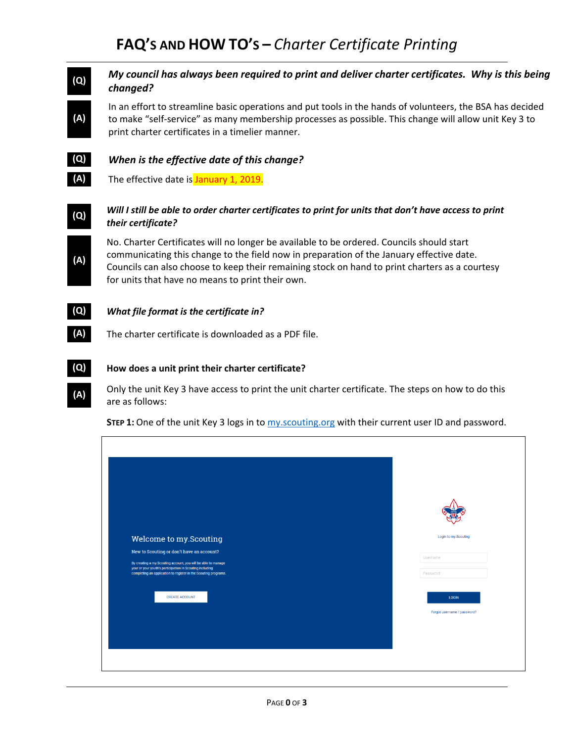## **FAQ'S AND HOW TO'S –** *Charter Certificate Printing*

**(Q)** *My council has always been required to print and deliver charter certificates. Why is this being changed?* In an effort to streamline basic operations and put tools in the hands of volunteers, the BSA has decided to make "self-service" as many membership processes as possible. This change will allow unit Key 3 to print charter certificates in a timelier manner. **(Q)** *When is the effective date of this change?* **(A)** The effective date is January 1, 2019. **(Q)** *Will I still be able to order charter certificates to print for units that don't have access to print their certificate?* No. Charter Certificates will no longer be available to be ordered. Councils should start communicating this change to the field now in preparation of the January effective date. Councils can also choose to keep their remaining stock on hand to print charters as a courtesy for units that have no means to print their own. **(Q)** *What file format is the certificate in?* **(A)** The charter certificate is downloaded as a PDF file. **(Q) How does a unit print their charter certificate?**

**(A)** Only the unit Key 3 have access to print the unit charter certificate. The steps on how to do this are as follows:

**STEP 1:** One of the unit Key 3 logs in to [my.scouting.org](http://www.my.scouting.org/) with their current user ID and password.

| Welcome to my.Scouting                                                                                                                                                                       | Login to my.Scouting        |
|----------------------------------------------------------------------------------------------------------------------------------------------------------------------------------------------|-----------------------------|
| New to Scouting or don't have an account?                                                                                                                                                    | Username                    |
| By creating a my.Scouting account, you will be able to manage<br>your or your youth's participation in Scouting including<br>completing an application to register in the Scouting programs. | Password                    |
| <b>CREATE ACCOUNT</b>                                                                                                                                                                        | <b>LOGIN</b>                |
|                                                                                                                                                                                              | Forgot username / password? |
|                                                                                                                                                                                              |                             |
|                                                                                                                                                                                              |                             |

**(A)**

**(A)**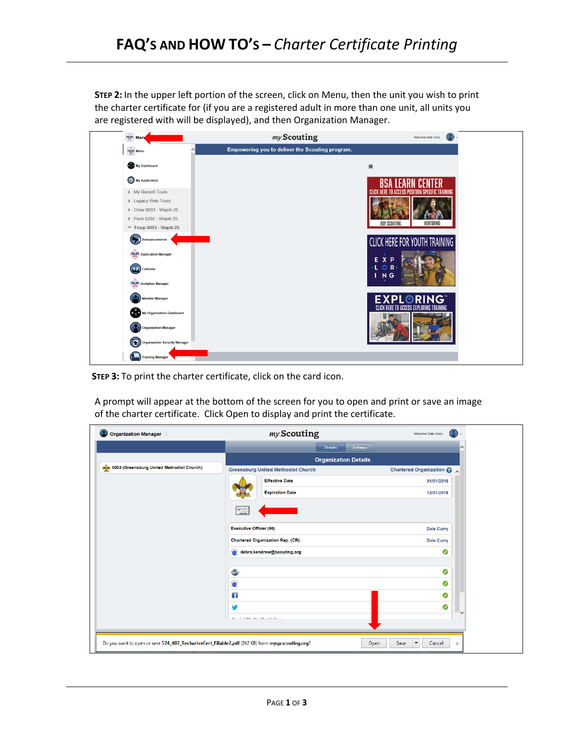**STEP 2:** In the upper left portion of the screen, click on Menu, then the unit you wish to print the charter certificate for (if you are a registered adult in more than one unit, all units you are registered with will be displayed), and then Organization Manager.

| Men                                                          | my Scouting                                     | (A)<br>Welcome Dale Curry                                   |
|--------------------------------------------------------------|-------------------------------------------------|-------------------------------------------------------------|
| Menu                                                         | Empowering you to deliver the Scouting program. |                                                             |
| My Dashboard                                                 |                                                 | $\blacksquare$                                              |
| My Application                                               |                                                 |                                                             |
| > My Recent Tools                                            |                                                 |                                                             |
| > Legacy Web Tools                                           |                                                 |                                                             |
| Crew 0003 - Wapiti 25                                        |                                                 |                                                             |
| > Pack 0292 - Wapiti 25                                      |                                                 | VENTURING<br><b>BOY SCOUTING</b>                            |
| * Troop 0003 - Wapiti 25                                     |                                                 |                                                             |
| <b>Announcements</b><br>Application Manager                  |                                                 | <b>CLICK HERE FOR YOUTH TRAINING</b><br>Е<br>Þ<br>x         |
| $\left( 17\right)$<br>Calendar<br>Invitation Manager         |                                                 | R<br>O<br>N <sub>G</sub>                                    |
| <b>Member Manager</b>                                        |                                                 | <b>EXPLORING</b><br>CLICK HERE TO ACCESS EXPLORING TRAINING |
| My Organization Dashboard                                    |                                                 |                                                             |
| <b>Organization Manager</b><br>Organization Security Manager |                                                 |                                                             |
| Training Manager                                             |                                                 |                                                             |

**STEP 3:** To print the charter certificate, click on the card icon.

A prompt will appear at the bottom of the screen for you to open and print or save an image of the charter certificate. Click Open to display and print the certificate.

| $\left( \bullet$<br><b>Organization Manager</b> >                                                | my Scouting                               | Welcome Dale Curry     |              |
|--------------------------------------------------------------------------------------------------|-------------------------------------------|------------------------|--------------|
|                                                                                                  | <b>Settings</b><br><b>Details</b>         |                        |              |
|                                                                                                  | <b>Organization Details</b>               |                        |              |
| 0003 (Greensburg United Methodist Church)<br><b>SAND</b><br>ô                                    | <b>Greensburg United Methodist Church</b> | Chartered Organization | $\lambda$    |
|                                                                                                  | <b>Effective Date</b>                     | 01/01/2018             |              |
|                                                                                                  | <b>Expiration Date</b>                    | 12/31/2018             |              |
|                                                                                                  | *≡                                        |                        |              |
|                                                                                                  | <b>Executive Officer (IH)</b>             | <b>Dale Curry</b>      |              |
|                                                                                                  | <b>Chartered Organization Rep. (CR)</b>   | <b>Dale Curry</b>      |              |
|                                                                                                  | debra.kendrew@scouting.org                | $\bullet$              |              |
|                                                                                                  |                                           |                        |              |
|                                                                                                  |                                           | 0                      |              |
|                                                                                                  |                                           | 0                      |              |
|                                                                                                  | Œ                                         | 0                      |              |
|                                                                                                  |                                           | $\bullet$              |              |
|                                                                                                  | <b>WALKER MARKET WORKERSHIP</b>           |                        | $\checkmark$ |
|                                                                                                  |                                           |                        |              |
| Do you want to open or save 524_407_RecharterCert_Fillable2.pdf (242 KB) from myqa.scouting.org? | Open                                      | Cancel<br>Save<br>▼    | $\times$     |